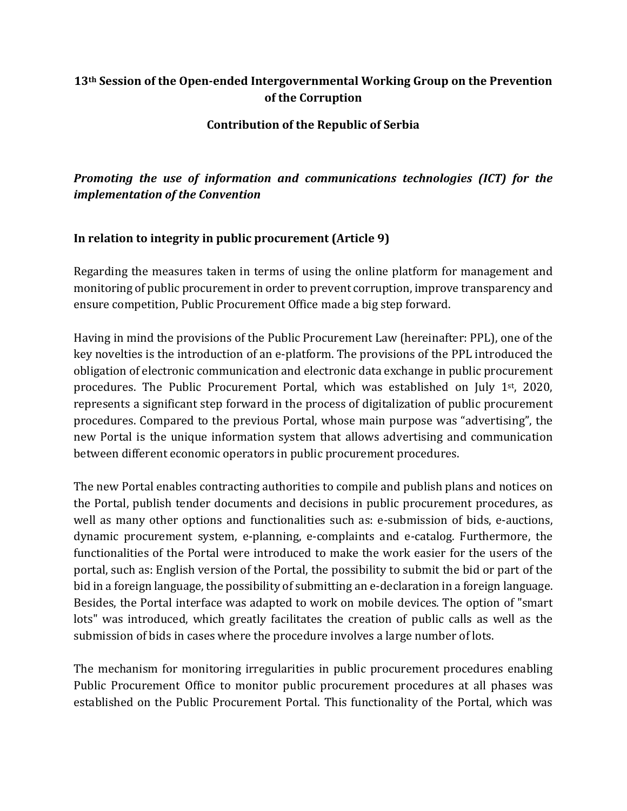### **13th Session of the Open-ended Intergovernmental Working Group on the Prevention of the Corruption**

**Contribution of the Republic of Serbia**

# *Promoting the use of information and communications technologies (ICT) for the implementation of the Convention*

### **In relation to integrity in public procurement (Article 9)**

Regarding the measures taken in terms of using the online platform for management and monitoring of public procurement in order to prevent corruption, improve transparency and ensure competition, Public Procurement Office made a big step forward.

Having in mind the provisions of the Public Procurement Law (hereinafter: PPL), one of the key novelties is the introduction of an e-platform. The provisions of the PPL introduced the obligation of electronic communication and electronic data exchange in public procurement procedures. The Public Procurement Portal, which was established on July 1st, 2020, represents a significant step forward in the process of digitalization of public procurement procedures. Compared to the previous Portal, whose main purpose was "advertising", the new Portal is the unique information system that allows advertising and communication between different economic operators in public procurement procedures.

The new Portal enables contracting authorities to compile and publish plans and notices on the Portal, publish tender documents and decisions in public procurement procedures, as well as many other options and functionalities such as: e-submission of bids, e-auctions, dynamic procurement system, e-planning, e-complaints and e-catalog. Furthermore, the functionalities of the Portal were introduced to make the work easier for the users of the portal, such as: English version of the Portal, the possibility to submit the bid or part of the bid in a foreign language, the possibility of submitting an e-declaration in a foreign language. Besides, the Portal interface was adapted to work on mobile devices. The option of "smart lots" was introduced, which greatly facilitates the creation of public calls as well as the submission of bids in cases where the procedure involves a large number of lots.

The mechanism for monitoring irregularities in public procurement procedures enabling Public Procurement Office to monitor public procurement procedures at all phases was established on the Public Procurement Portal. This functionality of the Portal, which was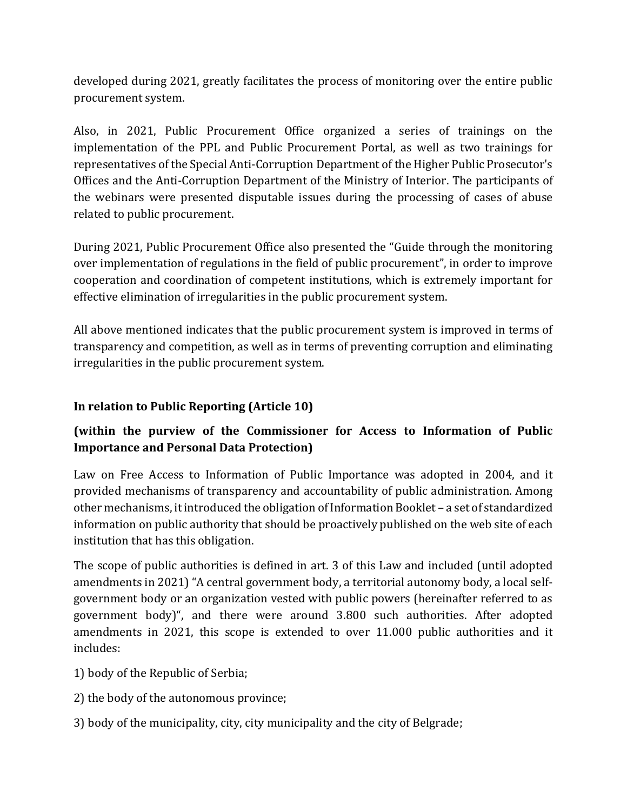developed during 2021, greatly facilitates the process of monitoring over the entire public procurement system.

Also, in 2021, Public Procurement Office organized a series of trainings on the implementation of the PPL and Public Procurement Portal, as well as two trainings for representatives of the Special Anti-Corruption Department of the Higher Public Prosecutor's Offices and the Anti-Corruption Department of the Ministry of Interior. The participants of the webinars were presented disputable issues during the processing of cases of abuse related to public procurement.

During 2021, Public Procurement Office also presented the "Guide through the monitoring over implementation of regulations in the field of public procurement", in order to improve cooperation and coordination of competent institutions, which is extremely important for effective elimination of irregularities in the public procurement system.

All above mentioned indicates that the public procurement system is improved in terms of transparency and competition, as well as in terms of preventing corruption and eliminating irregularities in the public procurement system.

## **In relation to Public Reporting (Article 10)**

## **(within the purview of the Commissioner for Access to Information of Public Importance and Personal Data Protection)**

Law on Free Access to Information of Public Importance was adopted in 2004, and it provided mechanisms of transparency and accountability of public administration. Among other mechanisms, it introduced the obligation of Information Booklet – a set of standardized information on public authority that should be proactively published on the web site of each institution that has this obligation.

The scope of public authorities is defined in art. 3 of this Law and included (until adopted amendments in 2021) "A central government body, a territorial autonomy body, a local selfgovernment body or an organization vested with public powers (hereinafter referred to as government body)", and there were around 3.800 such authorities. After adopted amendments in 2021, this scope is extended to over 11.000 public authorities and it includes:

- 1) body of the Republic of Serbia;
- 2) the body of the autonomous province;
- 3) body of the municipality, city, city municipality and the city of Belgrade;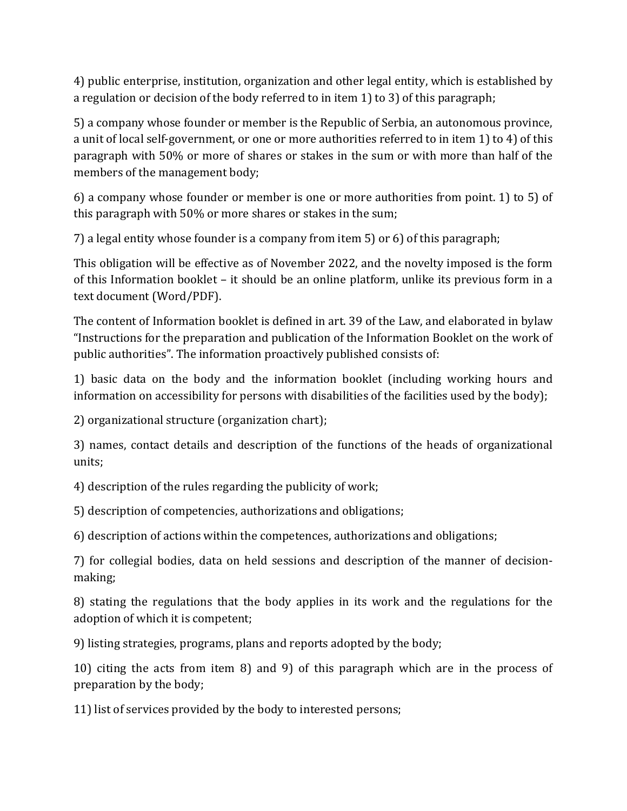4) public enterprise, institution, organization and other legal entity, which is established by a regulation or decision of the body referred to in item 1) to 3) of this paragraph;

5) a company whose founder or member is the Republic of Serbia, an autonomous province, a unit of local self-government, or one or more authorities referred to in item 1) to 4) of this paragraph with 50% or more of shares or stakes in the sum or with more than half of the members of the management body;

6) a company whose founder or member is one or more authorities from point. 1) to 5) of this paragraph with 50% or more shares or stakes in the sum;

7) a legal entity whose founder is a company from item 5) or 6) of this paragraph;

This obligation will be effective as of November 2022, and the novelty imposed is the form of this Information booklet – it should be an online platform, unlike its previous form in a text document (Word/PDF).

The content of Information booklet is defined in art. 39 of the Law, and elaborated in bylaw "Instructions for the preparation and publication of the Information Booklet on the work of public authorities". The information proactively published consists of:

1) basic data on the body and the information booklet (including working hours and information on accessibility for persons with disabilities of the facilities used by the body);

2) organizational structure (organization chart);

3) names, contact details and description of the functions of the heads of organizational units;

4) description of the rules regarding the publicity of work;

5) description of competencies, authorizations and obligations;

6) description of actions within the competences, authorizations and obligations;

7) for collegial bodies, data on held sessions and description of the manner of decisionmaking;

8) stating the regulations that the body applies in its work and the regulations for the adoption of which it is competent;

9) listing strategies, programs, plans and reports adopted by the body;

10) citing the acts from item 8) and 9) of this paragraph which are in the process of preparation by the body;

11) list of services provided by the body to interested persons;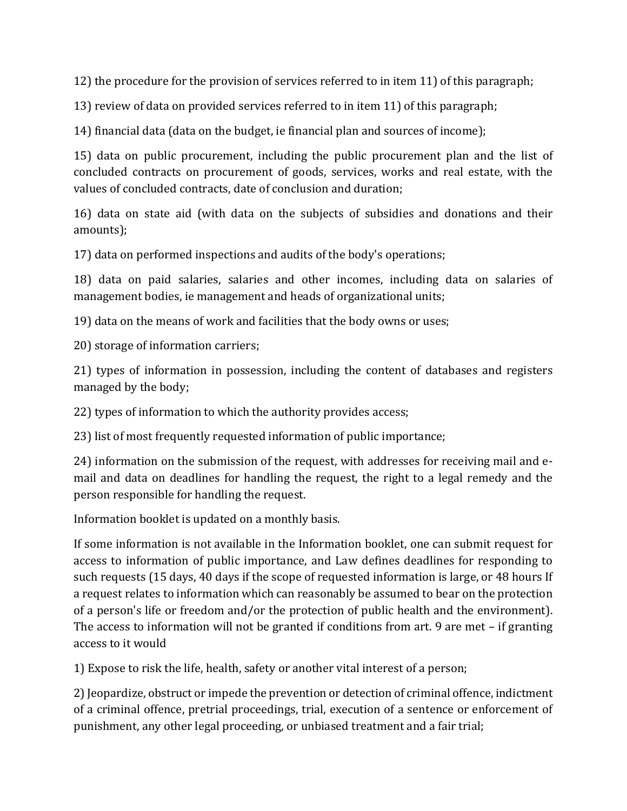12) the procedure for the provision of services referred to in item 11) of this paragraph;

13) review of data on provided services referred to in item 11) of this paragraph;

14) financial data (data on the budget, ie financial plan and sources of income);

15) data on public procurement, including the public procurement plan and the list of concluded contracts on procurement of goods, services, works and real estate, with the values of concluded contracts, date of conclusion and duration;

16) data on state aid (with data on the subjects of subsidies and donations and their amounts);

17) data on performed inspections and audits of the body's operations;

18) data on paid salaries, salaries and other incomes, including data on salaries of management bodies, ie management and heads of organizational units;

19) data on the means of work and facilities that the body owns or uses;

20) storage of information carriers;

21) types of information in possession, including the content of databases and registers managed by the body;

22) types of information to which the authority provides access;

23) list of most frequently requested information of public importance;

24) information on the submission of the request, with addresses for receiving mail and email and data on deadlines for handling the request, the right to a legal remedy and the person responsible for handling the request.

Information booklet is updated on a monthly basis.

If some information is not available in the Information booklet, one can submit request for access to information of public importance, and Law defines deadlines for responding to such requests (15 days, 40 days if the scope of requested information is large, or 48 hours If a request relates to information which can reasonably be assumed to bear on the protection of a person's life or freedom and/or the protection of public health and the environment). The access to information will not be granted if conditions from art. 9 are met – if granting access to it would

1) Expose to risk the life, health, safety or another vital interest of a person;

2) Jeopardize, obstruct or impede the prevention or detection of criminal offence, indictment of a criminal offence, pretrial proceedings, trial, execution of a sentence or enforcement of punishment, any other legal proceeding, or unbiased treatment and a fair trial;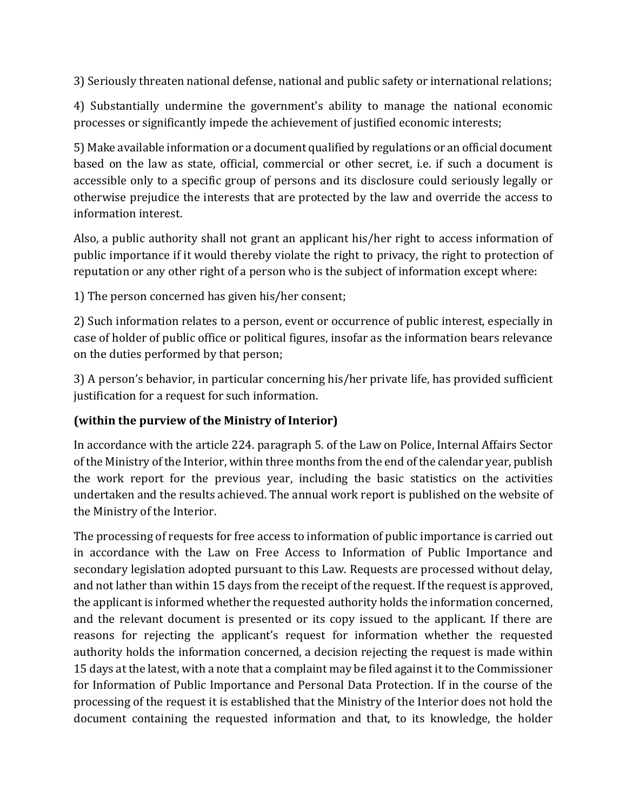3) Seriously threaten national defense, national and public safety or international relations;

4) Substantially undermine the government's ability to manage the national economic processes or significantly impede the achievement of justified economic interests;

5) Make available information or a document qualified by regulations or an official document based on the law as state, official, commercial or other secret, i.e. if such a document is accessible only to a specific group of persons and its disclosure could seriously legally or otherwise prejudice the interests that are protected by the law and override the access to information interest.

Also, a public authority shall not grant an applicant his/her right to access information of public importance if it would thereby violate the right to privacy, the right to protection of reputation or any other right of a person who is the subject of information except where:

1) The person concerned has given his/her consent;

2) Such information relates to a person, event or occurrence of public interest, especially in case of holder of public office or political figures, insofar as the information bears relevance on the duties performed by that person;

3) A person's behavior, in particular concerning his/her private life, has provided sufficient justification for a request for such information.

### **(within the purview of the Ministry of Interior)**

In accordance with the article 224. paragraph 5. of the Law on Police, Internal Affairs Sector of the Ministry of the Interior, within three months from the end of the calendar year, publish the work report for the previous year, including the basic statistics on the activities undertaken and the results achieved. The annual work report is published on the website of the Ministry of the Interior.

The processing of requests for free access to information of public importance is carried out in accordance with the Law on Free Access to Information of Public Importance and secondary legislation adopted pursuant to this Law. Requests are processed without delay, and not lather than within 15 days from the receipt of the request. If the request is approved, the applicant is informed whether the requested authority holds the information concerned, and the relevant document is presented or its copy issued to the applicant. If there are reasons for rejecting the applicant's request for information whether the requested authority holds the information concerned, a decision rejecting the request is made within 15 days at the latest, with a note that a complaint may be filed against it to the Commissioner for Information of Public Importance and Personal Data Protection. If in the course of the processing of the request it is established that the Ministry of the Interior does not hold the document containing the requested information and that, to its knowledge, the holder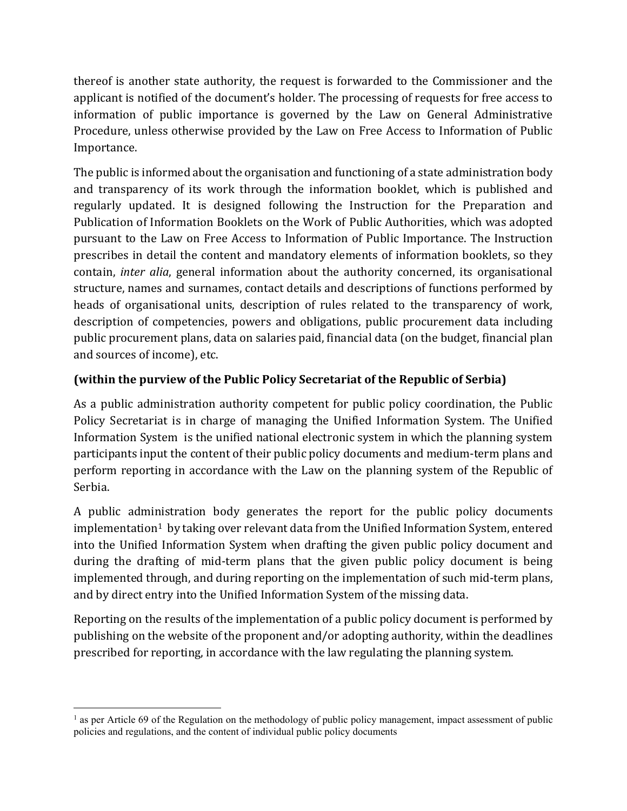thereof is another state authority, the request is forwarded to the Commissioner and the applicant is notified of the document's holder. The processing of requests for free access to information of public importance is governed by the Law on General Administrative Procedure, unless otherwise provided by the Law on Free Access to Information of Public Importance.

The public is informed about the organisation and functioning of a state administration body and transparency of its work through the information booklet, which is published and regularly updated. It is designed following the Instruction for the Preparation and Publication of Information Booklets on the Work of Public Authorities, which was adopted pursuant to the Law on Free Access to Information of Public Importance. The Instruction prescribes in detail the content and mandatory elements of information booklets, so they contain, *inter alia*, general information about the authority concerned, its organisational structure, names and surnames, contact details and descriptions of functions performed by heads of organisational units, description of rules related to the transparency of work, description of competencies, powers and obligations, public procurement data including public procurement plans, data on salaries paid, financial data (on the budget, financial plan and sources of income), etc.

# **(within the purview of the Public Policy Secretariat of the Republic of Serbia)**

As a public administration authority competent for public policy coordination, the Public Policy Secretariat is in charge of managing the Unified Information System. The Unified Information System is the unified national electronic system in which the planning system participants input the content of their public policy documents and medium-term plans and perform reporting in accordance with the Law on the planning system of the Republic of Serbia.

A public administration body generates the report for the public policy documents  $implementation<sup>1</sup>$  $implementation<sup>1</sup>$  $implementation<sup>1</sup>$  by taking over relevant data from the Unified Information System, entered into the Unified Information System when drafting the given public policy document and during the drafting of mid-term plans that the given public policy document is being implemented through, and during reporting on the implementation of such mid-term plans, and by direct entry into the Unified Information System of the missing data.

Reporting on the results of the implementation of a public policy document is performed by publishing on the website of the proponent and/or adopting authority, within the deadlines prescribed for reporting, in accordance with the law regulating the planning system.

<span id="page-5-0"></span> $<sup>1</sup>$  as per Article 69 of the Regulation on the methodology of public policy management, impact assessment of public</sup> policies and regulations, and the content of individual public policy documents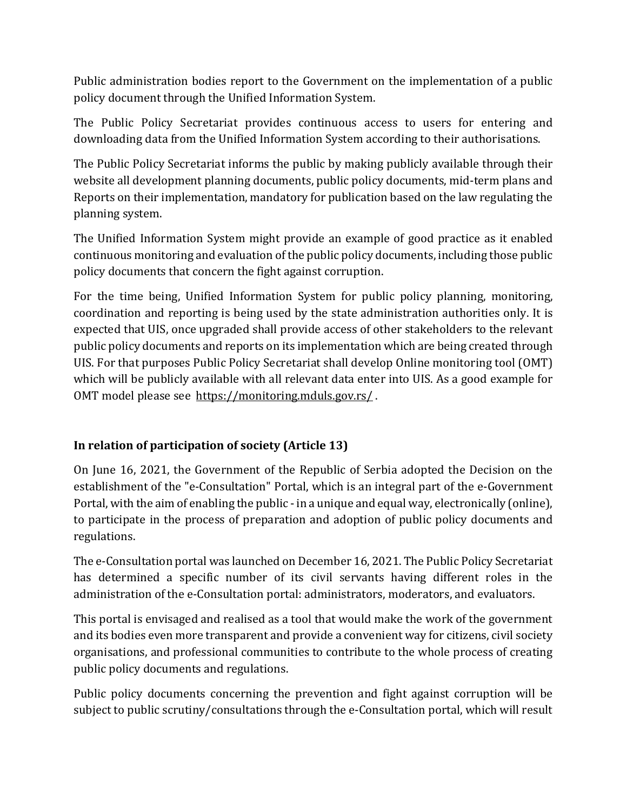Public administration bodies report to the Government on the implementation of a public policy document through the Unified Information System.

The Public Policy Secretariat provides continuous access to users for entering and downloading data from the Unified Information System according to their authorisations.

The Public Policy Secretariat informs the public by making publicly available through their website all development planning documents, public policy documents, mid-term plans and Reports on their implementation, mandatory for publication based on the law regulating the planning system.

The Unified Information System might provide an example of good practice as it enabled continuous monitoring and evaluation of the public policy documents, including those public policy documents that concern the fight against corruption.

For the time being, Unified Information System for public policy planning, monitoring, coordination and reporting is being used by the state administration authorities only. It is expected that UIS, once upgraded shall provide access of other stakeholders to the relevant public policy documents and reports on its implementation which are being created through UIS. For that purposes Public Policy Secretariat shall develop Online monitoring tool (OMT) which will be publicly available with all relevant data enter into UIS. As a good example for OMT model please see<https://monitoring.mduls.gov.rs/>.

## **In relation of participation of society (Article 13)**

On June 16, 2021, the Government of the Republic of Serbia adopted the Decision on the establishment of the "e-Consultation" Portal, which is an integral part of the e-Government Portal, with the aim of enabling the public - in a unique and equal way, electronically (online), to participate in the process of preparation and adoption of public policy documents and regulations.

The е-Consultation portal was launched on December 16, 2021. The Public Policy Secretariat has determined a specific number of its civil servants having different roles in the administration of the e-Consultation portal: administrators, moderators, and evaluators.

This portal is envisaged and realised as a tool that would make the work of the government and its bodies even more transparent and provide a convenient way for citizens, civil society organisations, and professional communities to contribute to the whole process of creating public policy documents and regulations.

Public policy documents concerning the prevention and fight against corruption will be subject to public scrutiny/consultations through the e-Consultation portal, which will result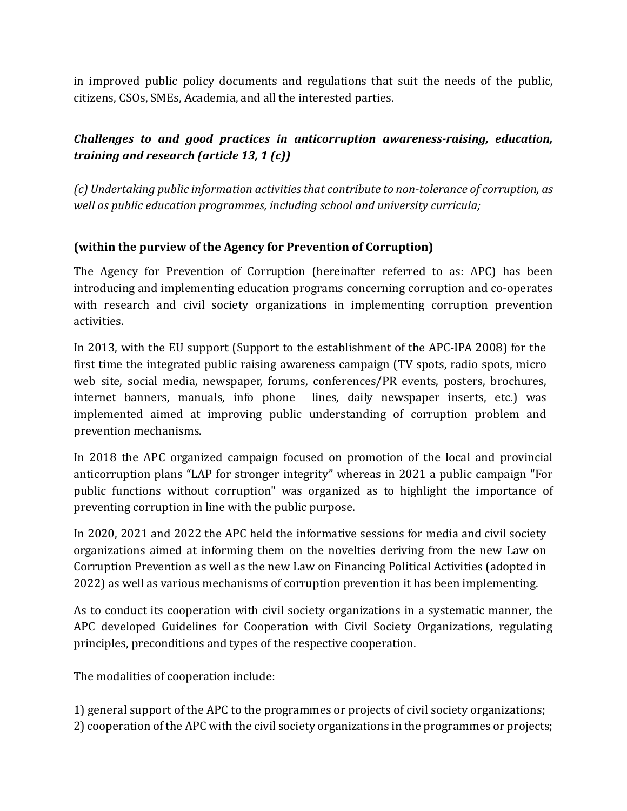in improved public policy documents and regulations that suit the needs of the public, citizens, CSOs, SMEs, Academia, and all the interested parties.

## *Challenges to and good practices in anticorruption awareness-raising, education, training and research (article 13, 1 (c))*

*(c) Undertaking public information activities that contribute to non-tolerance of corruption, as well as public education programmes, including school and university curricula;* 

### **(within the purview of the Agency for Prevention of Corruption)**

The Agency for Prevention of Corruption (hereinafter referred to as: APC) has been introducing and implementing education programs concerning corruption and co-operates with research and civil society organizations in implementing corruption prevention activities.

In 2013, with the EU support (Support to the establishment of the APC-IPA 2008) for the first time the integrated public raising awareness campaign (TV spots, radio spots, micro web site, social media, newspaper, forums, conferences/PR events, posters, brochures, internet banners, manuals, info phone lines, daily newspaper inserts, etc.) was implemented aimed at improving public understanding of corruption problem and prevention mechanisms.

In 2018 the APC organized campaign focused on promotion of the local and provincial anticorruption plans "LAP for stronger integrity" whereas in 2021 a public campaign "For public functions without corruption" was organized as to highlight the importance of preventing corruption in line with the public purpose.

In 2020, 2021 and 2022 the APC held the informative sessions for media and civil society organizations aimed at informing them on the novelties deriving from the new Law on Corruption Prevention as well as the new Law on Financing Political Activities (adopted in 2022) as well as various mechanisms of corruption prevention it has been implementing.

As to conduct its cooperation with civil society organizations in a systematic manner, the APC developed Guidelines for Cooperation with Civil Society Organizations, regulating principles, preconditions and types of the respective cooperation.

The modalities of cooperation include:

1) general support of the APC to the programmes or projects of civil society organizations; 2) cooperation of the APC with the civil society organizations in the programmes or projects;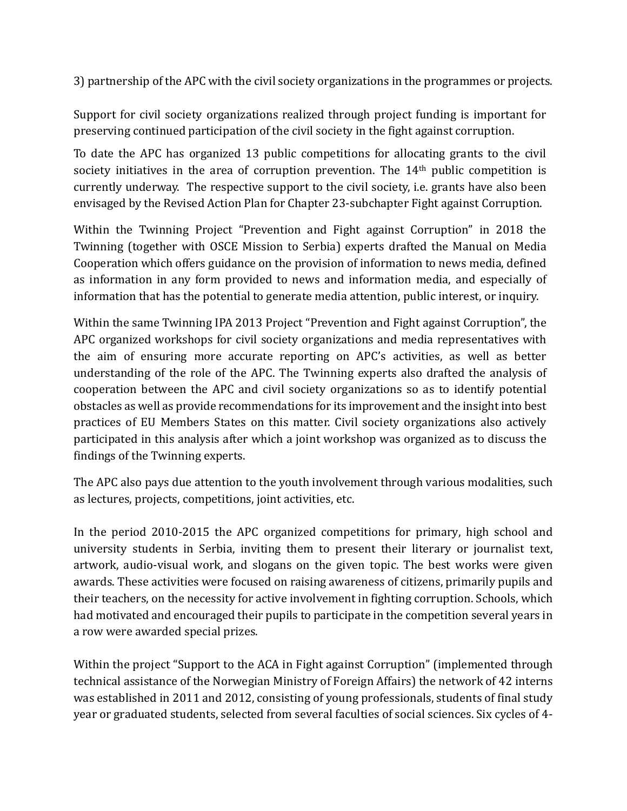3) partnership of the APC with the civil society organizations in the programmes or projects.

Support for civil society organizations realized through project funding is important for preserving continued participation of the civil society in the fight against corruption.

To date the APC has organized 13 public competitions for allocating grants to the civil society initiatives in the area of corruption prevention. The 14<sup>th</sup> public competition is currently underway. The respective support to the civil society, i.e. grants have also been envisaged by the Revised Action Plan for Chapter 23-subchapter Fight against Corruption.

Within the Twinning Project "Prevention and Fight against Corruption" in 2018 the Twinning (together with OSCE Mission to Serbia) experts drafted the Manual on Media Cooperation which offers guidance on the provision of information to news media, defined as information in any form provided to news and information media, and especially of information that has the potential to generate media attention, public interest, or inquiry.

Within the same Twinning IPA 2013 Project "Prevention and Fight against Corruption", the APC organized workshops for civil society organizations and media representatives with the aim of ensuring more accurate reporting on APC's activities, as well as better understanding of the role of the APC. The Twinning experts also drafted the analysis of cooperation between the APC and civil society organizations so as to identify potential obstacles as well as provide recommendations for its improvement and the insight into best practices of EU Members States on this matter. Civil society organizations also actively participated in this analysis after which a joint workshop was organized as to discuss the findings of the Twinning experts.

The APC also pays due attention to the youth involvement through various modalities, such as lectures, projects, competitions, joint activities, etc.

In the period 2010-2015 the APC organized competitions for primary, high school and university students in Serbia, inviting them to present their literary or journalist text, artwork, audio-visual work, and slogans on the given topic. The best works were given awards. These activities were focused on raising awareness of citizens, primarily pupils and their teachers, on the necessity for active involvement in fighting corruption. Schools, which had motivated and encouraged their pupils to participate in the competition several years in a row were awarded special prizes.

Within the project "Support to the ACA in Fight against Corruption" (implemented through technical assistance of the Norwegian Ministry of Foreign Affairs) the network of 42 interns was established in 2011 and 2012, consisting of young professionals, students of final study year or graduated students, selected from several faculties of social sciences. Six cycles of 4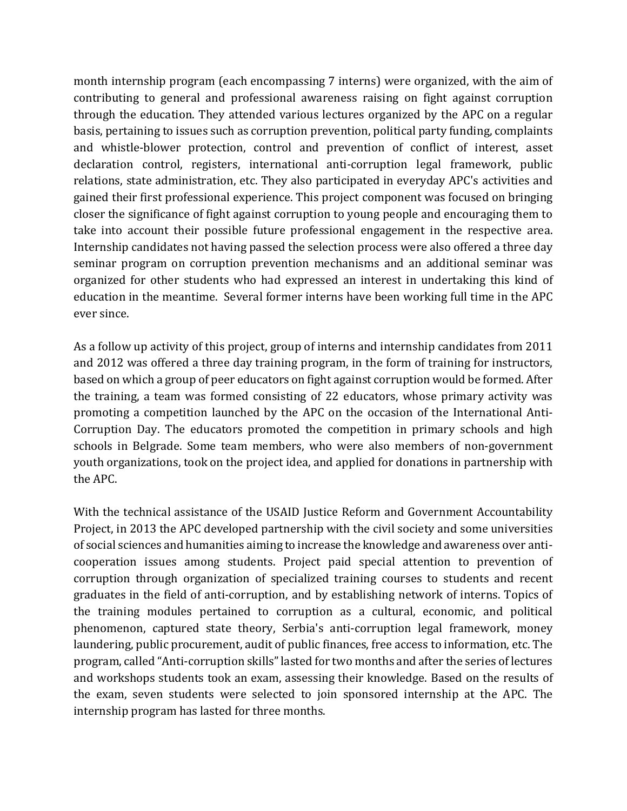month internship program (each encompassing 7 interns) were organized, with the aim of contributing to general and professional awareness raising on fight against corruption through the education. They attended various lectures organized by the APC on a regular basis, pertaining to issues such as corruption prevention, political party funding, complaints and whistle-blower protection, control and prevention of conflict of interest, asset declaration control, registers, international anti-corruption legal framework, public relations, state administration, etc. They also participated in everyday APC's activities and gained their first professional experience. This project component was focused on bringing closer the significance of fight against corruption to young people and encouraging them to take into account their possible future professional engagement in the respective area. Internship candidates not having passed the selection process were also offered a three day seminar program on corruption prevention mechanisms and an additional seminar was organized for other students who had expressed an interest in undertaking this kind of education in the meantime. Several former interns have been working full time in the APC ever since.

As a follow up activity of this project, group of interns and internship candidates from 2011 and 2012 was offered a three day training program, in the form of training for instructors, based on which a group of peer educators on fight against corruption would be formed. After the training, a team was formed consisting of 22 educators, whose primary activity was promoting a competition launched by the APC on the occasion of the International Anti-Corruption Day. The educators promoted the competition in primary schools and high schools in Belgrade. Some team members, who were also members of non-government youth organizations, took on the project idea, and applied for donations in partnership with the APC.

With the technical assistance of the USAID Justice Reform and Government Accountability Project, in 2013 the APC developed partnership with the civil society and some universities of social sciences and humanities aiming to increase the knowledge and awareness over anticooperation issues among students. Project paid special attention to prevention of corruption through organization of specialized training courses to students and recent graduates in the field of anti-corruption, and by establishing network of interns. Topics of the training modules pertained to corruption as a cultural, economic, and political phenomenon, captured state theory, Serbia's anti-corruption legal framework, money laundering, public procurement, audit of public finances, free access to information, etc. The program, called "Anti-corruption skills" lasted for two months and after the series of lectures and workshops students took an exam, assessing their knowledge. Based on the results of the exam, seven students were selected to join sponsored internship at the APC. The internship program has lasted for three months.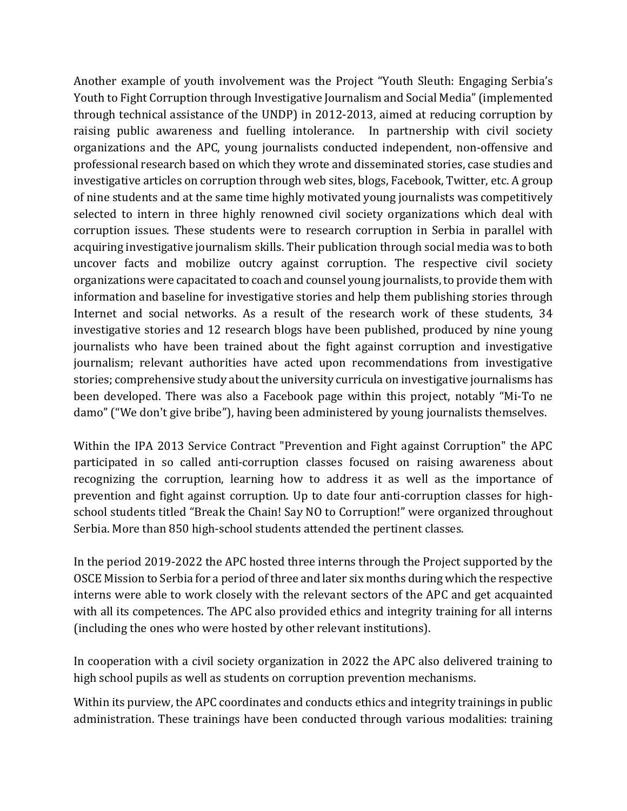Another example of youth involvement was the Project "Youth Sleuth: Engaging Serbia's Youth to Fight Corruption through Investigative Journalism and Social Media" (implemented through technical assistance of the UNDP) in 2012-2013, aimed at reducing corruption by raising public awareness and fuelling intolerance. In partnership with civil society organizations and the APC, young journalists conducted independent, non-offensive and professional research based on which they wrote and disseminated stories, case studies and investigative articles on corruption through web sites, blogs, Facebook, Twitter, etc. A group of nine students and at the same time highly motivated young journalists was competitively selected to intern in three highly renowned civil society organizations which deal with corruption issues. These students were to research corruption in Serbia in parallel with acquiring investigative journalism skills. Their publication through social media was to both uncover facts and mobilize outcry against corruption. The respective civil society organizations were capacitated to coach and counsel young journalists, to provide them with information and baseline for investigative stories and help them publishing stories through Internet and social networks. As a result of the research work of these students, 34 investigative stories and 12 research blogs have been published, produced by nine young journalists who have been trained about the fight against corruption and investigative journalism; relevant authorities have acted upon recommendations from investigative stories; comprehensive study about the university curricula on investigative journalisms has been developed. There was also a Facebook page within this project, notably "Mi-To ne damo" ("We don't give bribe"), having been administered by young journalists themselves.

Within the IPA 2013 Service Contract "Prevention and Fight against Corruption" the APC participated in so called anti-corruption classes focused on raising awareness about recognizing the corruption, learning how to address it as well as the importance of prevention and fight against corruption. Up to date four anti-corruption classes for highschool students titled "Break the Chain! Say NO to Corruption!" were organized throughout Serbia. More than 850 high-school students attended the pertinent classes.

In the period 2019-2022 the APC hosted three interns through the Project supported by the OSCE Mission to Serbia for a period of three and later six months during which the respective interns were able to work closely with the relevant sectors of the APC and get acquainted with all its competences. The APC also provided ethics and integrity training for all interns (including the ones who were hosted by other relevant institutions).

In cooperation with a civil society organization in 2022 the APC also delivered training to high school pupils as well as students on corruption prevention mechanisms.

Within its purview, the APC coordinates and conducts ethics and integrity trainings in public administration. These trainings have been conducted through various modalities: training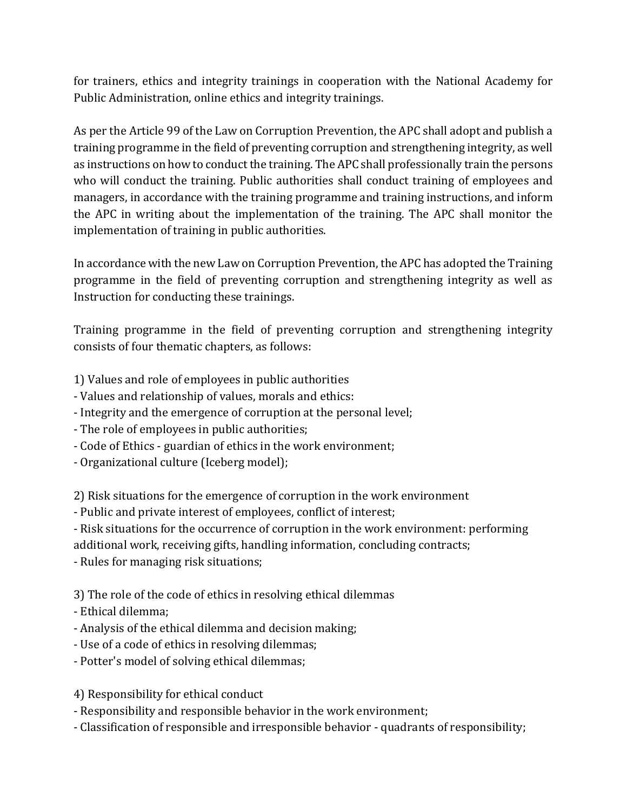for trainers, ethics and integrity trainings in cooperation with the National Academy for Public Administration, online ethics and integrity trainings.

As per the Article 99 of the Law on Corruption Prevention, the APC shall adopt and publish a training programme in the field of preventing corruption and strengthening integrity, as well as instructions on how to conduct the training. The APC shall professionally train the persons who will conduct the training. Public authorities shall conduct training of employees and managers, in accordance with the training programme and training instructions, and inform the APC in writing about the implementation of the training. The APC shall monitor the implementation of training in public authorities.

In accordance with the new Law on Corruption Prevention, the APC has adopted the Training programme in the field of preventing corruption and strengthening integrity as well as Instruction for conducting these trainings.

Training programme in the field of preventing corruption and strengthening integrity consists of four thematic chapters, as follows:

1) Values and role of employees in public authorities

- Values and relationship of values, morals and ethics:
- Integrity and the emergence of corruption at the personal level;
- The role of employees in public authorities;
- Code of Ethics guardian of ethics in the work environment;
- Organizational culture (Iceberg model);

2) Risk situations for the emergence of corruption in the work environment

- Public and private interest of employees, conflict of interest;

- Risk situations for the occurrence of corruption in the work environment: performing additional work, receiving gifts, handling information, concluding contracts;

- Rules for managing risk situations;

3) The role of the code of ethics in resolving ethical dilemmas

- Ethical dilemma;
- Analysis of the ethical dilemma and decision making;
- Use of a code of ethics in resolving dilemmas;
- Potter's model of solving ethical dilemmas;

4) Responsibility for ethical conduct

- Responsibility and responsible behavior in the work environment;
- Classification of responsible and irresponsible behavior quadrants of responsibility;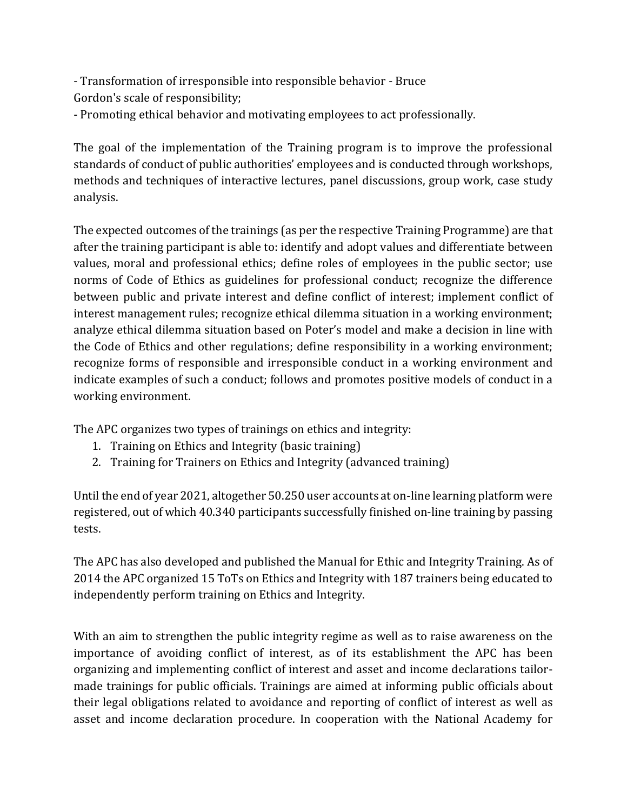- Transformation of irresponsible into responsible behavior - Bruce Gordon's scale of responsibility;

- Promoting ethical behavior and motivating employees to act professionally.

The goal of the implementation of the Training program is to improve the professional standards of conduct of public authorities' employees and is conducted through workshops, methods and techniques of interactive lectures, panel discussions, group work, case study analysis.

The expected outcomes of the trainings (as per the respective Training Programme) are that after the training participant is able to: identify and adopt values and differentiate between values, moral and professional ethics; define roles of employees in the public sector; use norms of Code of Ethics as guidelines for professional conduct; recognize the difference between public and private interest and define conflict of interest; implement conflict of interest management rules; recognize ethical dilemma situation in a working environment; analyze ethical dilemma situation based on Poter's model and make a decision in line with the Code of Ethics and other regulations; define responsibility in a working environment; recognize forms of responsible and irresponsible conduct in a working environment and indicate examples of such a conduct; follows and promotes positive models of conduct in a working environment.

The APC organizes two types of trainings on ethics and integrity:

- 1. Training on Ethics and Integrity (basic training)
- 2. Training for Trainers on Ethics and Integrity (advanced training)

Until the end of year 2021, altogether 50.250 user accounts at on-line learning platform were registered, out of which 40.340 participants successfully finished on-line training by passing tests.

The APC has also developed and published the Manual for Ethic and Integrity Training. As of 2014 the APC organized 15 ToTs on Ethics and Integrity with 187 trainers being educated to independently perform training on Ethics and Integrity.

With an aim to strengthen the public integrity regime as well as to raise awareness on the importance of avoiding conflict of interest, as of its establishment the APC has been organizing and implementing conflict of interest and asset and income declarations tailormade trainings for public officials. Trainings are aimed at informing public officials about their legal obligations related to avoidance and reporting of conflict of interest as well as asset and income declaration procedure. In cooperation with the National Academy for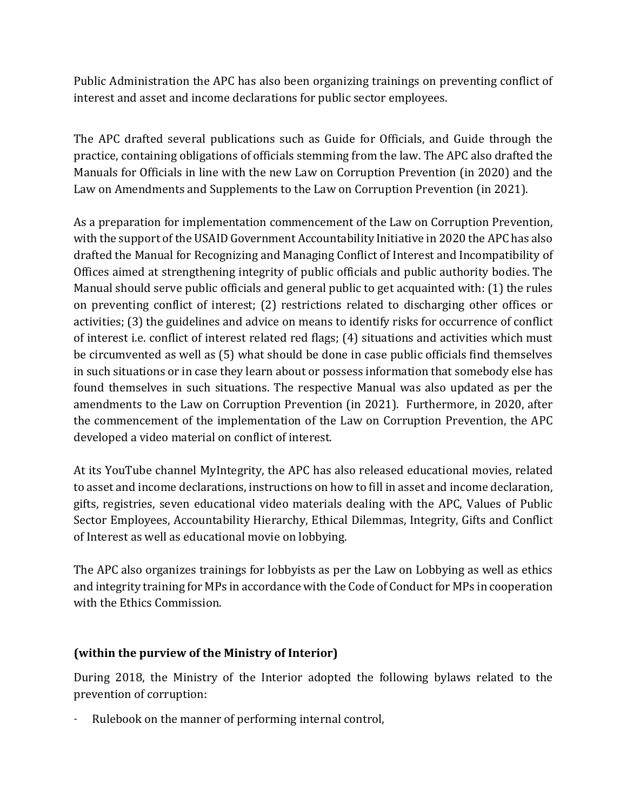Public Administration the APC has also been organizing trainings on preventing conflict of interest and asset and income declarations for public sector employees.

The APC drafted several publications such as Guide for Officials, and Guide through the practice, containing obligations of officials stemming from the law. The APC also drafted the Manuals for Officials in line with the new Law on Corruption Prevention (in 2020) and the Law on Amendments and Supplements to the Law on Corruption Prevention (in 2021).

As a preparation for implementation commencement of the Law on Corruption Prevention, with the support of the USAID Government Accountability Initiative in 2020 the APC has also drafted the Manual for Recognizing and Managing Conflict of Interest and Incompatibility of Offices aimed at strengthening integrity of public officials and public authority bodies. The Manual should serve public officials and general public to get acquainted with: (1) the rules on preventing conflict of interest; (2) restrictions related to discharging other offices or activities; (3) the guidelines and advice on means to identify risks for occurrence of conflict of interest i.e. conflict of interest related red flags; (4) situations and activities which must be circumvented as well as (5) what should be done in case public officials find themselves in such situations or in case they learn about or possess information that somebody else has found themselves in such situations. The respective Manual was also updated as per the amendments to the Law on Corruption Prevention (in 2021). Furthermore, in 2020, after the commencement of the implementation of the Law on Corruption Prevention, the APC developed a video material on conflict of interest.

At its YouTube channel MyIntegrity, the APC has also released educational movies, related to asset and income declarations, instructions on how to fill in asset and income declaration, gifts, registries, seven educational video materials dealing with the APC, Values of Public Sector Employees, Accountability Hierarchy, Ethical Dilemmas, Integrity, Gifts and Conflict of Interest as well as educational movie on lobbying.

The APC also organizes trainings for lobbyists as per the Law on Lobbying as well as ethics and integrity training for MPs in accordance with the Code of Conduct for MPs in cooperation with the Ethics Commission.

## **(within the purview of the Ministry of Interior)**

During 2018, the Ministry of the Interior adopted the following bylaws related to the prevention of corruption:

Rulebook on the manner of performing internal control,